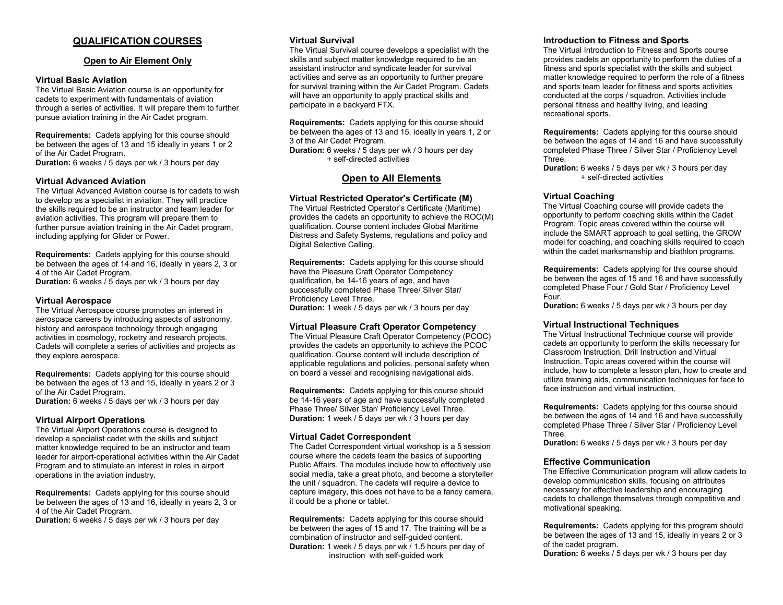# QUALIFICATION COURSES

# Open to Air Element Only

#### Virtual Basic Aviation

The Virtual Basic Aviation course is an opportunity for cadets to experiment with fundamentals of aviation through a series of activities. It will prepare them to further pursue aviation training in the Air Cadet program.

Requirements: Cadets applying for this course should be between the ages of 13 and 15 ideally in years 1 or 2 of the Air Cadet Program. **Duration:** 6 weeks / 5 days per wk / 3 hours per day

#### Virtual Advanced Aviation

The Virtual Advanced Aviation course is for cadets to wish to develop as a specialist in aviation. They will practice the skills required to be an instructor and team leader for aviation activities. This program will prepare them to further pursue aviation training in the Air Cadet program, including applying for Glider or Power.

Requirements: Cadets applying for this course should be between the ages of 14 and 16, ideally in years 2, 3 or 4 of the Air Cadet Program.

Duration: 6 weeks / 5 days per wk / 3 hours per day

#### Virtual Aerospace

The Virtual Aerospace course promotes an interest in aerospace careers by introducing aspects of astronomy, history and aerospace technology through engaging activities in cosmology, rocketry and research projects. Cadets will complete a series of activities and projects as they explore aerospace.

Requirements: Cadets applying for this course should be between the ages of 13 and 15, ideally in years 2 or 3 of the Air Cadet Program. Duration: 6 weeks / 5 days per wk / 3 hours per day

# Virtual Airport Operations

The Virtual Airport Operations course is designed to develop a specialist cadet with the skills and subject matter knowledge required to be an instructor and team leader for airport-operational activities within the Air Cadet Program and to stimulate an interest in roles in airport operations in the aviation industry.

Requirements: Cadets applying for this course should be between the ages of 13 and 16, ideally in years 2, 3 or 4 of the Air Cadet Program.

Duration: 6 weeks / 5 days per wk / 3 hours per day

#### Virtual Survival

The Virtual Survival course develops a specialist with the skills and subject matter knowledge required to be an assistant instructor and syndicate leader for survival activities and serve as an opportunity to further prepare for survival training within the Air Cadet Program. Cadets will have an opportunity to apply practical skills and participate in a backyard FTX.

Requirements: Cadets applying for this course should be between the ages of 13 and 15, ideally in years 1, 2 or 3 of the Air Cadet Program.

Duration: 6 weeks / 5 days per wk / 3 hours per day + self-directed activities

# Open to All Elements

# Virtual Restricted Operator's Certificate (M)

The Virtual Restricted Operator's Certificate (Maritime) provides the cadets an opportunity to achieve the ROC(M) qualification. Course content includes Global Maritime Distress and Safety Systems, regulations and policy and Digital Selective Calling.

Requirements: Cadets applying for this course should have the Pleasure Craft Operator Competency qualification, be 14-16 years of age, and have successfully completed Phase Three/ Silver Star/ Proficiency Level Three.

Duration: 1 week / 5 days per wk / 3 hours per day

#### Virtual Pleasure Craft Operator Competency

The Virtual Pleasure Craft Operator Competency (PCOC) provides the cadets an opportunity to achieve the PCOC qualification. Course content will include description of applicable regulations and policies, personal safety when on board a vessel and recognising navigational aids.

Requirements: Cadets applying for this course should be 14-16 years of age and have successfully completed Phase Three/ Silver Star/ Proficiency Level Three. **Duration:** 1 week / 5 days per wk /  $\overline{3}$  hours per day

#### Virtual Cadet Correspondent

The Cadet Correspondent virtual workshop is a 5 session course where the cadets learn the basics of supporting Public Affairs. The modules include how to effectively use social media, take a great photo, and become a storyteller the unit / squadron. The cadets will require a device to capture imagery, this does not have to be a fancy camera, it could be a phone or tablet.

Requirements: Cadets applying for this course should be between the ages of 15 and 17. The training will be a combination of instructor and self-guided content. Duration: 1 week / 5 days per wk / 1.5 hours per day of instruction with self-guided work

#### Introduction to Fitness and Sports

The Virtual Introduction to Fitness and Sports course provides cadets an opportunity to perform the duties of a fitness and sports specialist with the skills and subject matter knowledge required to perform the role of a fitness and sports team leader for fitness and sports activities conducted at the corps / squadron. Activities include personal fitness and healthy living, and leading recreational sports.

Requirements: Cadets applying for this course should be between the ages of 14 and 16 and have successfully completed Phase Three / Silver Star / Proficiency Level Three.

Duration: 6 weeks / 5 days per wk / 3 hours per day + self-directed activities

#### Virtual Coaching

The Virtual Coaching course will provide cadets the opportunity to perform coaching skills within the Cadet Program. Topic areas covered within the course will include the SMART approach to goal setting, the GROW model for coaching, and coaching skills required to coach within the cadet marksmanship and biathlon programs.

Requirements: Cadets applying for this course should be between the ages of 15 and 16 and have successfully completed Phase Four / Gold Star / Proficiency Level Four.

Duration: 6 weeks / 5 days per wk / 3 hours per day

#### Virtual Instructional Techniques

The Virtual Instructional Technique course will provide cadets an opportunity to perform the skills necessary for Classroom Instruction, Drill Instruction and Virtual Instruction. Topic areas covered within the course will include, how to complete a lesson plan, how to create and utilize training aids, communication techniques for face to face instruction and virtual instruction.

Requirements: Cadets applying for this course should be between the ages of 14 and 16 and have successfully completed Phase Three / Silver Star / Proficiency Level **Three** 

Duration: 6 weeks / 5 days per wk / 3 hours per day

#### Effective Communication

The Effective Communication program will allow cadets to develop communication skills, focusing on attributes necessary for effective leadership and encouraging cadets to challenge themselves through competitive and motivational speaking.

Requirements: Cadets applying for this program should be between the ages of 13 and 15, ideally in years 2 or 3 of the cadet program.

Duration: 6 weeks / 5 days per wk / 3 hours per day